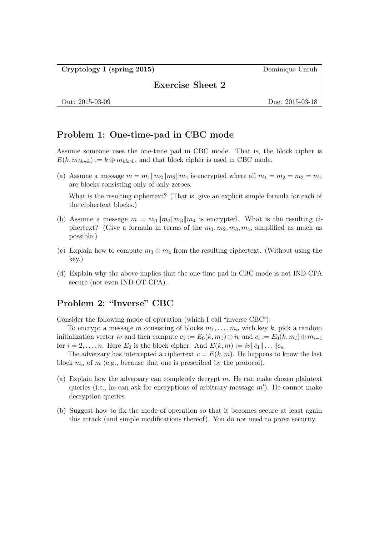Cryptology I (spring 2015) Dominique Unruh

Exercise Sheet 2

Out: 2015-03-09 Due: 2015-03-18

## Problem 1: One-time-pad in CBC mode

Assume someone uses the one-time pad in CBC mode. That is, the block cipher is  $E(k, m_{block}) := k \oplus m_{block}$ , and that block cipher is used in CBC mode.

(a) Assume a message  $m = m_1||m_2||m_3||m_4$  is encrypted where all  $m_1 = m_2 = m_3 = m_4$ are blocks consisting only of only zeroes.

What is the resulting ciphertext? (That is, give an explicit simple formula for each of the ciphertext blocks.)

- (b) Assume a message  $m = m_1 ||m_2|| m_3 || m_4$  is encrypted. What is the resulting ciphertext? (Give a formula in terms of the  $m_1, m_2, m_3, m_4$ , simplified as much as possible.)
- (c) Explain how to compute  $m_3 \oplus m_4$  from the resulting ciphertext. (Without using the key.)
- (d) Explain why the above implies that the one-time pad in CBC mode is not IND-CPA secure (not even IND-OT-CPA).

# Problem 2: "Inverse" CBC

Consider the following mode of operation (which I call "inverse CBC"):

To encrypt a message m consisting of blocks  $m_1, \ldots, m_n$  with key k, pick a random initialization vector iv and then compute  $c_1 := E_0(k, m_1) \oplus iv$  and  $c_i := E_0(k, m_i) \oplus m_{i-1}$ for  $i = 2, \ldots, n$ . Here  $E_0$  is the block cipher. And  $E(k, m) := w||c_1|| \ldots ||c_n$ .

The adversary has intercepted a ciphertext  $c = E(k, m)$ . He happens to know the last block  $m_n$  of m (e.g., because that one is prescribed by the protocol).

- (a) Explain how the adversary can completely decrypt  $m$ . He can make chosen plaintext queries (i.e., he can ask for encryptions of arbitrary message  $m'$ ). He cannot make decryption queries.
- (b) Suggest how to fix the mode of operation so that it becomes secure at least again this attack (and simple modifications thereof). You do not need to prove security.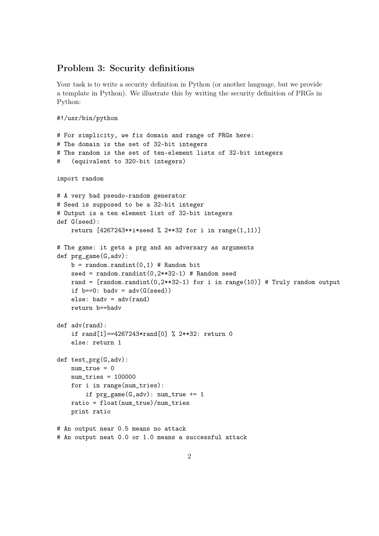### Problem 3: Security definitions

Your task is to write a security definition in Python (or another language, but we provide a template in Python). We illustrate this by writing the security definition of PRGs in Python:

```
#!/usr/bin/python
# For simplicity, we fix domain and range of PRGs here:
# The domain is the set of 32-bit integers
# The random is the set of ten-element lists of 32-bit integers
# (equivalent to 320-bit integers)
import random
# A very bad pseudo-random generator
# Seed is supposed to be a 32-bit integer
# Output is a ten element list of 32-bit integers
def G(seed):
    return [4267243**i*seed % 2**32 for i in range(1,11)]
# The game: it gets a prg and an adversary as arguments
def prg_game(G,adv):
    b = \text{random.random}(0,1) # Random bit
    seed = random.randint(0,2**32-1) # Random seed
    rand = [random.random(0,2**32-1) for i in range(10)] # Truly random output
    if b == 0: bady = adv(G(seed))
    else: badv = adv(rand)return b==badv
def adv(rand):
    if rand[1]==4267243*rand[0] % 2**32: return 0
    else: return 1
def test_prg(G,adv):
    num\_true = 0num\_tries = 100000for i in range(num_tries):
        if prg<sub>g</sub>ame(G,adv): num<sub>true</sub> += 1ratio = float(num_true)/num_tries
    print ratio
# An output near 0.5 means no attack
# An output neat 0.0 or 1.0 means a successful attack
```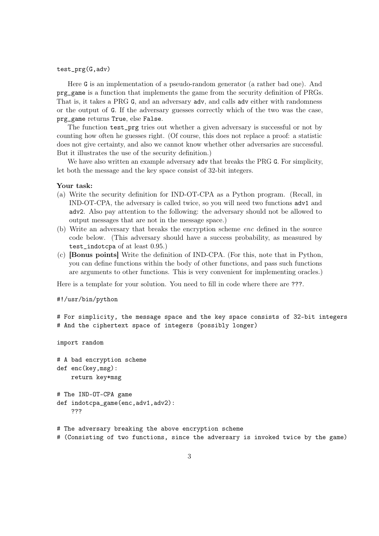#### test\_prg(G,adv)

Here G is an implementation of a pseudo-random generator (a rather bad one). And prg\_game is a function that implements the game from the security definition of PRGs. That is, it takes a PRG G, and an adversary adv, and calls adv either with randomness or the output of G. If the adversary guesses correctly which of the two was the case, prg\_game returns True, else False.

The function test\_prg tries out whether a given adversary is successful or not by counting how often he guesses right. (Of course, this does not replace a proof: a statistic does not give certainty, and also we cannot know whether other adversaries are successful. But it illustrates the use of the security definition.)

We have also written an example adversary adv that breaks the PRG G. For simplicity, let both the message and the key space consist of 32-bit integers.

### Your task:

- (a) Write the security definition for IND-OT-CPA as a Python program. (Recall, in IND-OT-CPA, the adversary is called twice, so you will need two functions adv1 and adv2. Also pay attention to the following: the adversary should not be allowed to output messages that are not in the message space.)
- (b) Write an adversary that breaks the encryption scheme enc defined in the source code below. (This adversary should have a success probability, as measured by test\_indotcpa of at least 0.95.)
- (c) [Bonus points] Write the definition of IND-CPA. (For this, note that in Python, you can define functions within the body of other functions, and pass such functions are arguments to other functions. This is very convenient for implementing oracles.)

Here is a template for your solution. You need to fill in code where there are ???.

#### #!/usr/bin/python

```
# For simplicity, the message space and the key space consists of 32-bit integers
# And the ciphertext space of integers (possibly longer)
```
import random

# A bad encryption scheme def enc(key,msg): return key\*msg

```
# The IND-OT-CPA game
def indotcpa_game(enc,adv1,adv2):
    ???
```
# The adversary breaking the above encryption scheme

```
# (Consisting of two functions, since the adversary is invoked twice by the game)
```